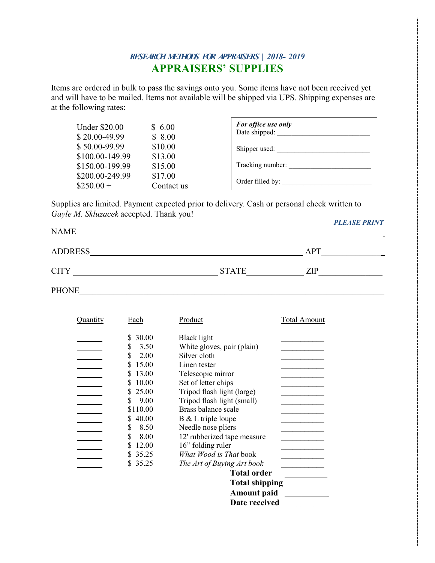## *RESEARCH METHODS FOR APPRAISERS | 2018- 2019* **APPRAISERS' SUPPLIES**

Items are ordered in bulk to pass the savings onto you. Some items have not been received yet and will have to be mailed. Items not available will be shipped via UPS. Shipping expenses are at the following rates:

| <b>Under \$20.00</b><br>$$20.00-49.99$ | \$6.00<br>\$8.00 | For office use only<br>Date shipped: |
|----------------------------------------|------------------|--------------------------------------|
| $$50.00-99.99$                         | \$10.00          | Shipper used:                        |
| \$100.00-149.99                        | \$13.00          |                                      |
| \$150.00-199.99                        | \$15.00          | Tracking number:                     |
| \$200.00-249.99                        | \$17.00          |                                      |
| $$250.00+$                             | Contact us       | Order filled by:                     |

Supplies are limited. Payment expected prior to delivery. Cash or personal check written to *Gayle M. Skluzacek* accepted. Thank you! *PLEASE PRINT*

| <b>NAME</b>    |              |     |
|----------------|--------------|-----|
| <b>ADDRESS</b> |              | APT |
| <b>CITY</b>    | <b>STATE</b> | ZIP |

PHONE\_\_\_\_\_\_\_\_\_\_\_\_\_\_\_\_\_\_\_\_\_\_\_\_\_\_\_\_\_\_\_\_\_\_\_\_\_\_\_\_\_\_\_\_\_\_\_\_\_\_\_\_\_\_\_\_\_\_\_\_\_\_\_\_\_\_\_\_\_\_\_

| Quantity | Each       | Product                     | <b>Total Amount</b> |
|----------|------------|-----------------------------|---------------------|
|          | 30.00<br>S | Black light                 |                     |
|          | 3.50<br>S  | White gloves, pair (plain)  |                     |
|          | 2.00<br>S  | Silver cloth                |                     |
|          | 15.00      | Linen tester                |                     |
|          | 13.00      | Telescopic mirror           |                     |
|          | 10.00      | Set of letter chips         |                     |
|          | 25.00      | Tripod flash light (large)  |                     |
|          | 9.00<br>S  | Tripod flash light (small)  |                     |
|          | \$110.00   | Brass balance scale         |                     |
|          | \$40.00    | B & L triple loupe          |                     |
|          | 8.50<br>S  | Needle nose pliers          |                     |
|          | 8.00<br>S  | 12' rubberized tape measure |                     |
|          | 12.00      | 16" folding ruler           |                     |
|          | 35.25<br>S | What Wood is That book      |                     |
|          | 35.25      | The Art of Buying Art book  |                     |
|          |            | <b>Total order</b>          |                     |
|          |            | <b>Total shipping</b>       |                     |
|          |            | <b>Amount paid</b>          |                     |
|          |            | Date received               |                     |
|          |            |                             |                     |